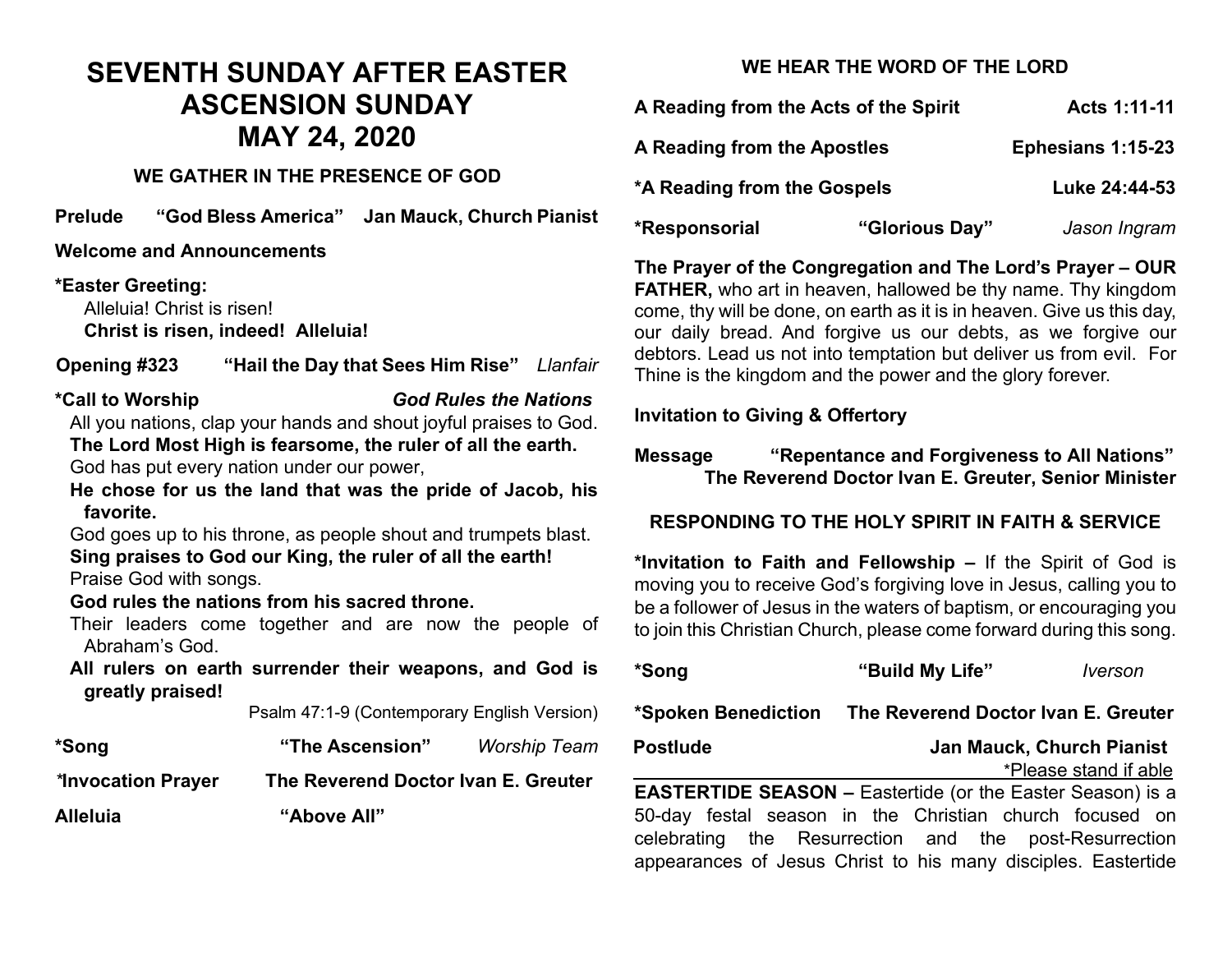# **SEVENTH SUNDAY AFTER EASTER ASCENSION SUNDAY MAY 24, 2020**

#### **WE GATHER IN THE PRESENCE OF GOD**

**Prelude "God Bless America" Jan Mauck, Church Pianist**

**Welcome and Announcements**

#### **\*Easter Greeting:**

Alleluia! Christ is risen! **Christ is risen, indeed! Alleluia!**

**Opening #323 "Hail the Day that Sees Him Rise"** *Llanfair*

#### **\*Call to Worship** *God Rules the Nations* All you nations, clap your hands and shout joyful praises to God. **The Lord Most High is fearsome, the ruler of all the earth.** God has put every nation under our power,

**He chose for us the land that was the pride of Jacob, his favorite.**

God goes up to his throne, as people shout and trumpets blast. **Sing praises to God our King, the ruler of all the earth!** Praise God with songs.

#### **God rules the nations from his sacred throne.**

Their leaders come together and are now the people of Abraham's God.

**All rulers on earth surrender their weapons, and God is greatly praised!**

Psalm 47:1-9 (Contemporary English Version)

| *Song              | "The Ascension"                     | <b>Worship Team</b> |
|--------------------|-------------------------------------|---------------------|
| *Invocation Prayer | The Reverend Doctor Ivan E. Greuter |                     |
| Alleluia           | "Above All"                         |                     |

#### **WE HEAR THE WORD OF THE LORD**

| A Reading from the Acts of the Spirit |                | Acts 1:11-11      |
|---------------------------------------|----------------|-------------------|
| A Reading from the Apostles           |                | Ephesians 1:15-23 |
| *A Reading from the Gospels           |                | Luke 24:44-53     |
| *Responsorial                         | "Glorious Day" | Jason Ingram      |

**The Prayer of the Congregation and The Lord's Prayer – OUR FATHER,** who art in heaven, hallowed be thy name. Thy kingdom come, thy will be done, on earth as it is in heaven. Give us this day, our daily bread. And forgive us our debts, as we forgive our debtors. Lead us not into temptation but deliver us from evil. For Thine is the kingdom and the power and the glory forever.

#### **Invitation to Giving & Offertory**

**Message "Repentance and Forgiveness to All Nations" The Reverend Doctor Ivan E. Greuter, Senior Minister**

#### **RESPONDING TO THE HOLY SPIRIT IN FAITH & SERVICE**

**\*Invitation to Faith and Fellowship –** If the Spirit of God is moving you to receive God's forgiving love in Jesus, calling you to be a follower of Jesus in the waters of baptism, or encouraging you to join this Christian Church, please come forward during this song.

| *Song                                                             | "Build My Life"                  |  | <i><u><b>Iverson</b></u></i> |
|-------------------------------------------------------------------|----------------------------------|--|------------------------------|
| *Spoken Benediction The Reverend Doctor Ivan E. Greuter           |                                  |  |                              |
| <b>Postlude</b>                                                   | <b>Jan Mauck, Church Pianist</b> |  |                              |
|                                                                   |                                  |  | *Please stand if able        |
| <b>EASTERTIDE SEASON - Eastertide (or the Easter Season) is a</b> |                                  |  |                              |
| 50-day festal season in the Christian church focused on           |                                  |  |                              |
| celebrating the Resurrection and the post-Resurrection            |                                  |  |                              |

appearances of Jesus Christ to his many disciples. Eastertide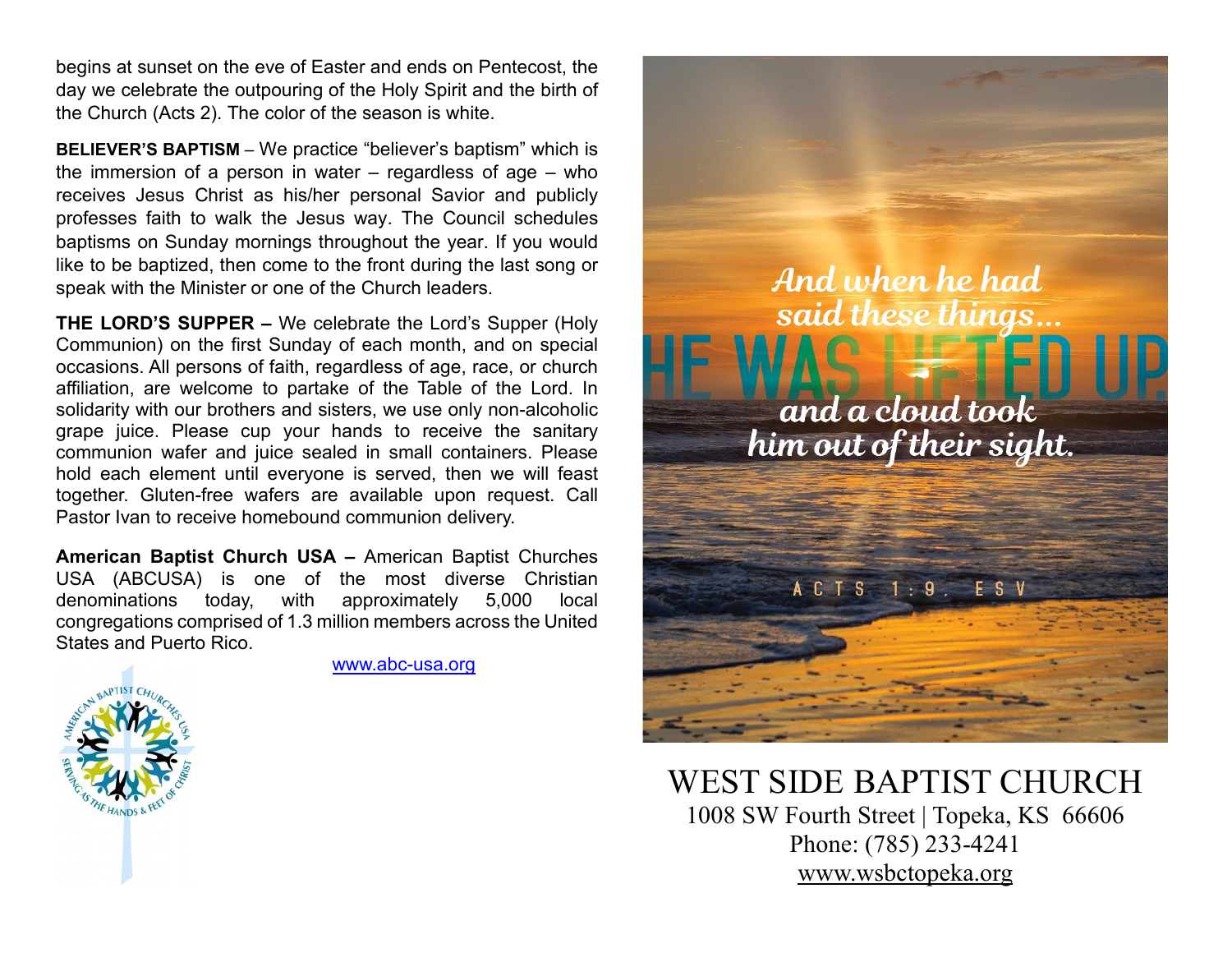begins at sunset on the eve of Easter and ends on Pentecost, the day we celebrate the outpouring of the Holy Spirit and the birth of the Church (Acts 2). The color of the season is white.

**BELIEVER'S BAPTISM** – We practice "believer's baptism" which is the immersion of a person in water  $-$  regardless of age  $-$  who receives Jesus Christ as his/her personal Savior and publicly professes faith to walk the Jesus way. The Council schedules baptisms on Sunday mornings throughout the year. If you would like to be baptized, then come to the front during the last song or speak with the Minister or one of the Church leaders.

**THE LORD'S SUPPER –** We celebrate the Lord's Supper (Holy Communion) on the first Sunday of each month, and on special occasions. All persons of faith, regardless of age, race, or church affiliation, are welcome to partake of the Table of the Lord. In solidarity with our brothers and sisters, we use only non-alcoholic grape juice. Please cup your hands to receive the sanitary communion wafer and juice sealed in small containers. Please hold each element until everyone is served, then we will feast together. Gluten-free wafers are available upon request. Call Pastor Ivan to receive homebound communion delivery.

**American Baptist Church USA –** American Baptist Churches USA (ABCUSA) is one of the most diverse Christian denominations today, with approximately 5,000 local congregations comprised of 1.3 million members across the United States and Puerto Rico.



[www.abc-usa.org](http://www.abc-usa.org/)



# WEST SIDE BAPTIST CHURCH<br>1008 SW Fourth Street | Topeka, KS 66606

Phone: (785) 233-4241 [www.wsbctopeka.org](http://www.wsbctopeka.org/)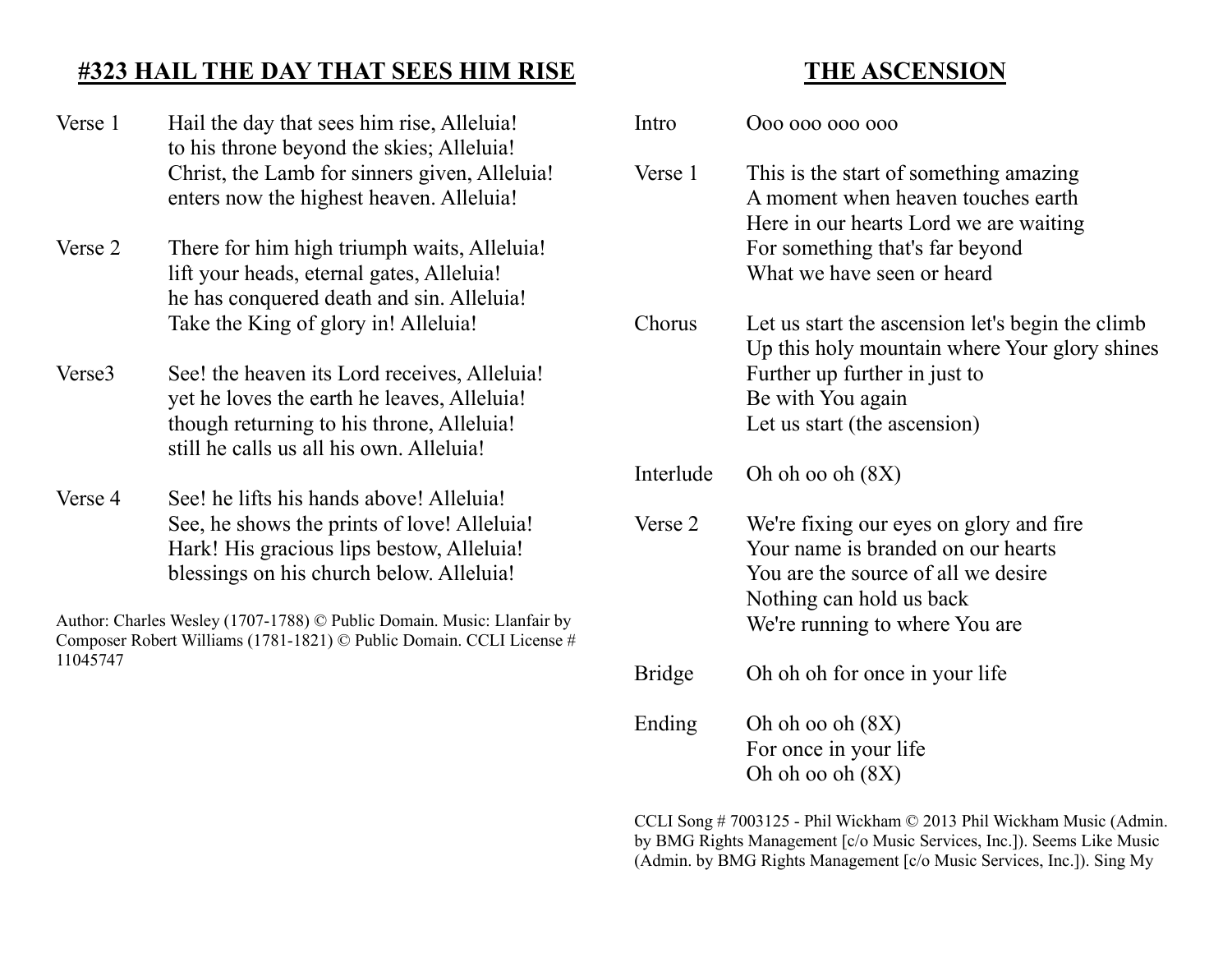# **#323 HAIL THE DAY THAT SEES HIM RISE**

| Verse 1 | Hail the day that sees him rise, Alleluia!    |
|---------|-----------------------------------------------|
|         | to his throne beyond the skies; Alleluia!     |
|         | Christ, the Lamb for sinners given, Alleluia! |
|         | enters now the highest heaven. Alleluia!      |
|         |                                               |

- Verse 2 There for him high triumph waits, Alleluia! lift your heads, eternal gates, Alleluia! he has conquered death and sin. Alleluia! Take the King of glory in! Alleluia!
- Verse3 See! the heaven its Lord receives, Alleluia! yet he loves the earth he leaves, Alleluia! though returning to his throne, Alleluia! still he calls us all his own. Alleluia!
- Verse 4 See! he lifts his hands above! Alleluia! See, he shows the prints of love! Alleluia! Hark! His gracious lips bestow, Alleluia! blessings on his church below. Alleluia!

Author: Charles Wesley (1707-1788) © Public Domain. Music: Llanfair by Composer Robert Williams (1781-1821) © Public Domain. CCLI License # 11045747

# **THE ASCENSION**

| Intro         | Ooo ooo ooo ooo                                                                                                                                                                         |
|---------------|-----------------------------------------------------------------------------------------------------------------------------------------------------------------------------------------|
| Verse 1       | This is the start of something amazing<br>A moment when heaven touches earth<br>Here in our hearts Lord we are waiting<br>For something that's far beyond<br>What we have seen or heard |
| Chorus        | Let us start the ascension let's begin the climb<br>Up this holy mountain where Your glory shines<br>Further up further in just to<br>Be with You again<br>Let us start (the ascension) |
| Interlude     | Oh oh oo oh $(8X)$                                                                                                                                                                      |
| Verse 2       | We're fixing our eyes on glory and fire<br>Your name is branded on our hearts<br>You are the source of all we desire<br>Nothing can hold us back<br>We're running to where You are      |
| <b>Bridge</b> | Oh oh oh for once in your life                                                                                                                                                          |
|               |                                                                                                                                                                                         |

CCLI Song # 7003125 - Phil Wickham © 2013 Phil Wickham Music (Admin. by BMG Rights Management [c/o Music Services, Inc.]). Seems Like Music (Admin. by BMG Rights Management [c/o Music Services, Inc.]). Sing My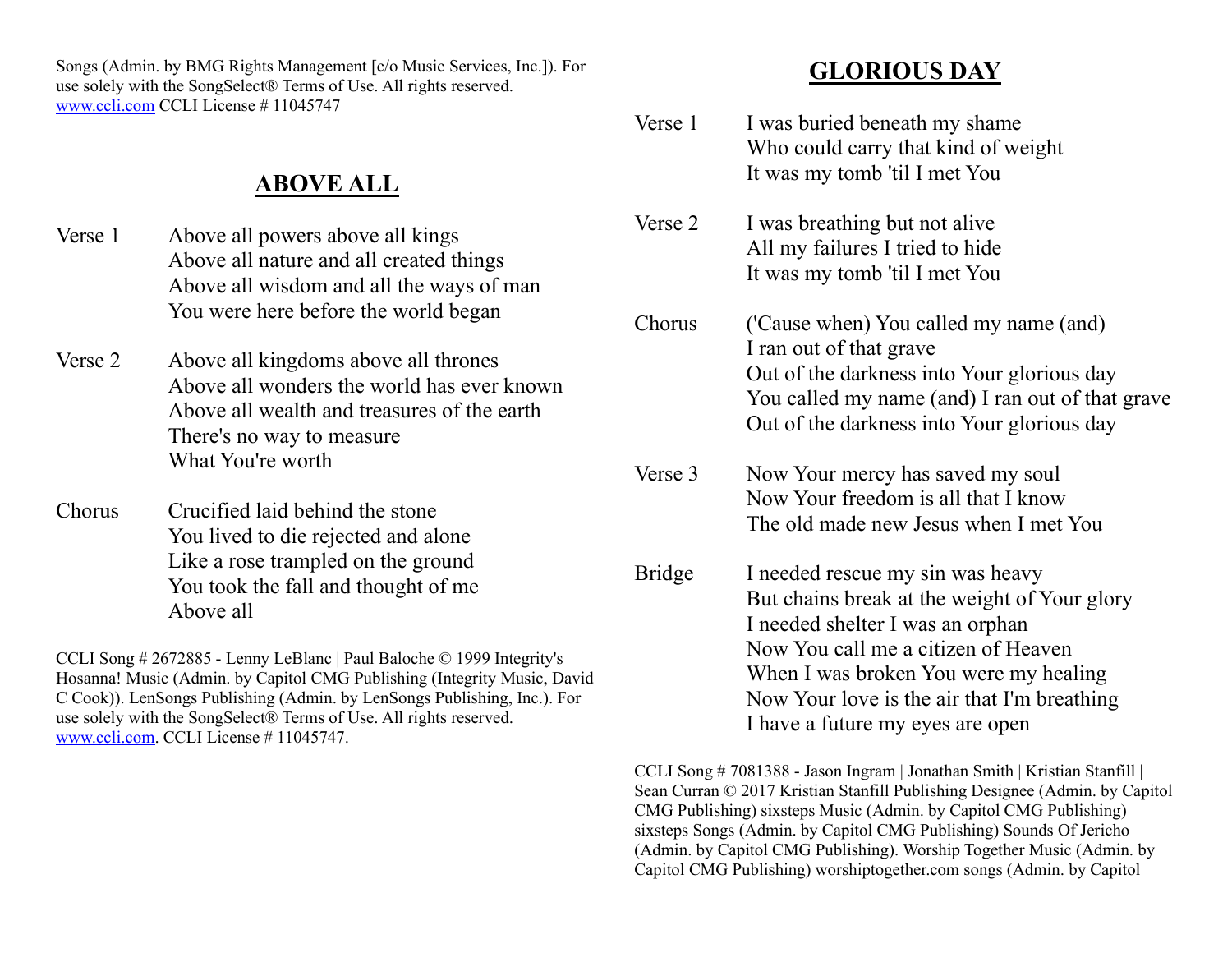Songs (Admin. by BMG Rights Management [c/o Music Services, Inc.]). For use solely with the SongSelect® Terms of Use. All rights reserved. [www.ccli.com](http://www.ccli.com/) CCLI License # 11045747

### **ABOVE ALL**

- Verse 1 Above all powers above all kings Above all nature and all created things Above all wisdom and all the ways of man You were here before the world began
- Verse 2 Above all kingdoms above all thrones Above all wonders the world has ever known Above all wealth and treasures of the earth There's no way to measure What You're worth
- Chorus Crucified laid behind the stone You lived to die rejected and alone Like a rose trampled on the ground You took the fall and thought of me Above all

CCLI Song # 2672885 - Lenny LeBlanc | Paul Baloche © 1999 Integrity's Hosanna! Music (Admin. by Capitol CMG Publishing (Integrity Music, David C Cook)). LenSongs Publishing (Admin. by LenSongs Publishing, Inc.). For use solely with the SongSelect® Terms of Use. All rights reserved. [www.ccli.com.](http://www.ccli.com/) CCLI License # 11045747.

## **GLORIOUS DAY**

Verse 1 I was buried beneath my shame Who could carry that kind of weight It was my tomb 'til I met You Verse 2 I was breathing but not alive All my failures I tried to hide It was my tomb 'til I met You Chorus ('Cause when) You called my name (and) I ran out of that grave Out of the darkness into Your glorious day You called my name (and) I ran out of that grave Out of the darkness into Your glorious day Verse 3 Now Your mercy has saved my soul Now Your freedom is all that I know The old made new Jesus when I met You Bridge I needed rescue my sin was heavy But chains break at the weight of Your glory I needed shelter I was an orphan Now You call me a citizen of Heaven When I was broken You were my healing Now Your love is the air that I'm breathing I have a future my eyes are open CCLI Song # 7081388 - Jason Ingram | Jonathan Smith | Kristian Stanfill | Sean Curran © 2017 Kristian Stanfill Publishing Designee (Admin. by Capitol CMG Publishing) sixsteps Music (Admin. by Capitol CMG Publishing)

sixsteps Songs (Admin. by Capitol CMG Publishing) Sounds Of Jericho (Admin. by Capitol CMG Publishing). Worship Together Music (Admin. by Capitol CMG Publishing) worshiptogether.com songs (Admin. by Capitol